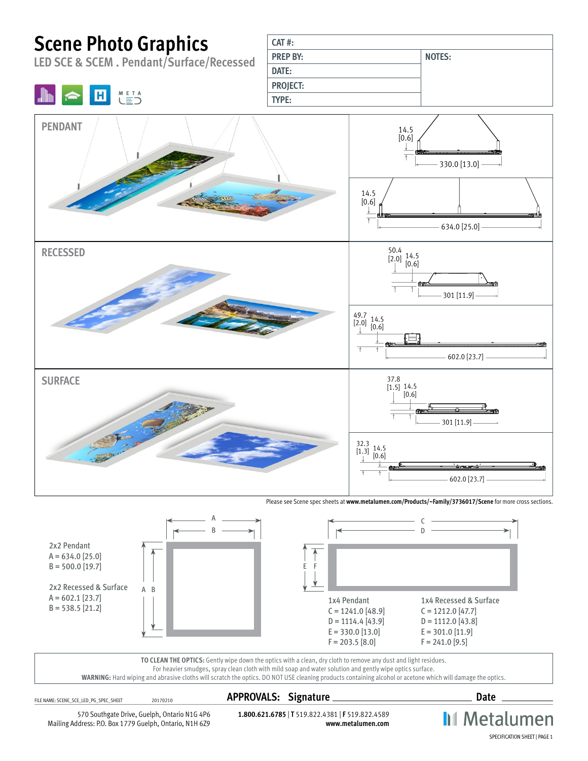# **Scene Photo Graphics**

**META** 

н

**LED SCE & SCEM . Pendant/Surface/Recessed**

| $CAT$ #:        |               |
|-----------------|---------------|
| <b>PREP BY:</b> | <b>NOTES:</b> |
| DATE:           |               |
| <b>PROJECT:</b> |               |
| <b>TYPE:</b>    |               |



Please see Scene spec sheets at **[www.metalumen.com/Products/~Family/3736017/Scene](http://www.metalumen.com/Products/~Family/3736017/Scene)** for more cross sections.



**WARNING:** Hard wiping and abrasive cloths will scratch the optics. DO NOT USE cleaning products containing alcohol or acetone which will damage the optics.

## FILE NAME: SCENE\_SCE\_LED\_PG\_SPEC\_SHEET <sup>20170210</sup> **APPROVALS: Signature Date**

**II** Metalumen

570 Southgate Drive, Guelph, Ontario N1G 4P6 Mailing Address: P.O. Box 1779 Guelph, Ontario, N1H 6Z9

**1.800.621.6785** | **T** 519.822.4381 | **F** 519.822.4589 **www.metalumen.com**

SPECIFICATION SHEET | PAGE 1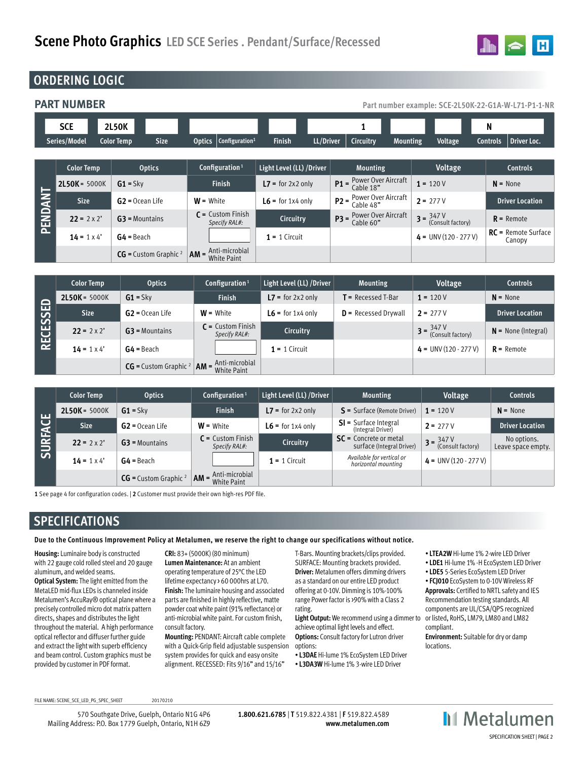

### **ORDERING LOGIC**

**PART NUMBER Part number example: SCE-2L50K-22-G1A-W-L71-P1-1-NR**

|         | <b>SCE</b>                  | 2L50K                            |                                             |                            | 1                                                  |                                                      | N                                     |
|---------|-----------------------------|----------------------------------|---------------------------------------------|----------------------------|----------------------------------------------------|------------------------------------------------------|---------------------------------------|
|         | Series/Model                | <b>Size</b><br><b>Color Temp</b> | <b>Optics</b><br>Configuration <sup>1</sup> | <b>Finish</b><br>LL/Driver | <b>Circuitry</b><br><b>Mounting</b>                | Voltage                                              | <b>Driver Loc.</b><br><b>Controls</b> |
|         |                             |                                  |                                             |                            |                                                    |                                                      |                                       |
|         | <b>Color Temp</b>           | <b>Optics</b>                    | Configuration <sup>1</sup>                  | Light Level (LL) / Driver  | <b>Mounting</b>                                    | Voltage                                              | <b>Controls</b>                       |
| PENDANT | 2L50K = 5000K<br>$G1 = Skv$ |                                  | <b>Finish</b>                               | $L7 =$ for 2x2 only        | <b>P1</b> = $\frac{Power Over Aircraft}{Cable 18"$ | $1 = 120V$                                           | $N = None$                            |
|         | <b>Size</b>                 | $G2 = Ocean Life$                | $W = White$                                 | $L6 =$ for 1x4 only        | <b>P2</b> = $\frac{Power}{Cable}$ 48"              | $2 = 277V$                                           | <b>Driver Location</b>                |
|         | $22 = 2 \times 2'$          | $G3$ = Mountains                 | $C =$ Custom Finish<br>Specify RAL#:        | Circuitry                  | $P3 = Power Over Aircraft$<br>Cable 60"            | $3 = \frac{347 \text{ V}}{(\text{Consult factory})}$ | $R$ = Remote                          |
|         | $14 = 1 \times 4'$          | $G4 =$ Beach                     |                                             | $1 = 1$ Circuit            |                                                    | $4 = UNV(120 - 277 V)$                               | $RC =$ Remote Surface<br>Canopy       |
|         |                             | $CG =$ Custom Graphic $^2$       | $AM =$ Anti-microbial<br><b>White Paint</b> |                            |                                                    |                                                      |                                       |

| 品<br><b>RECESSE</b> | <b>Color Temp</b>  | <b>Optics</b>                                                                                 | Configuration <sup>1</sup>           | Light Level (LL) / Driver | <b>Mounting</b>              | Voltage                                              | <b>Controls</b>        |
|---------------------|--------------------|-----------------------------------------------------------------------------------------------|--------------------------------------|---------------------------|------------------------------|------------------------------------------------------|------------------------|
|                     | $2L50K = 5000K$    | $G1 = Skv$                                                                                    | <b>Finish</b>                        | $L7 =$ for 2x2 only       | $\mathsf T$ = Recessed T-Bar | $1 = 120V$                                           | $N = None$             |
|                     | <b>Size</b>        | $G2 = Ocean Life$                                                                             | $W =$ White                          | $L6 =$ for 1x4 only       | $D$ = Recessed Drywall       | $2 = 277V$                                           | <b>Driver Location</b> |
|                     | $22 = 2 \times 2'$ | $G3$ = Mountains                                                                              | $C =$ Custom Finish<br>Specify RAL#: | Circuitry                 |                              | $3 = \frac{347 \text{ V}}{(\text{Consult factory})}$ | $N =$ None (Integral)  |
|                     | $14 = 1 \times 4'$ | $G4 =$ Beach                                                                                  |                                      | $1 = 1$ Circuit           |                              | $4 = UNV (120 - 277 V)$                              | $R$ = Remote           |
|                     |                    | <b>CG</b> = Custom Graphic $2$ <b>AM</b> = $\frac{\text{Anti-microbial}}{\text{White Paint}}$ |                                      |                           |                              |                                                      |                        |

| <b>SURFACE</b> | <b>Color Temp</b>  | <b>Optics</b>             | Configuration <sup>1</sup>                                           | Light Level (LL) / Driver | <b>Mounting</b>                                       | Voltage                                                           | <b>Controls</b>                   |
|----------------|--------------------|---------------------------|----------------------------------------------------------------------|---------------------------|-------------------------------------------------------|-------------------------------------------------------------------|-----------------------------------|
|                | $2L50K = 5000K$    | $G1 = Skv$                | <b>Finish</b>                                                        | $L7 =$ for 2x2 only       | $S =$ Surface (Remote Driver)                         | $1 = 120V$                                                        | $N = None$                        |
|                | <b>Size</b>        | $G2 = Ocean Life$         | $W =$ White                                                          | $L6$ = for 1x4 only       | $SI = Surface Integral$<br>(Integral Driver)          | $2 = 277V$                                                        | Driver Location                   |
|                | $22 = 2 \times 2'$ | $G3$ = Mountains          | $C =$ Custom Finish<br>Specify RAL#:                                 | Circuitry                 | $SC =$ Concrete or metal<br>surface (Integral Driver) | $3 = \frac{347 \text{ V}}{(6.08 \text{ V})}$<br>(Consult factory) | No options.<br>Leave space empty. |
|                | $14 = 1 \times 4'$ | $G4 =$ Beach              |                                                                      | $1 = 1$ Circuit           | Available for vertical or<br>horizontal mounting      | $4 = UNV(120 - 277 V)$                                            |                                   |
|                |                    | $CG =$ Custom Graphic $2$ | $\mathsf{AM} = \mathsf{Anti\text{-}microbial}$<br><b>White Paint</b> |                           |                                                       |                                                                   |                                   |

**1** See page 4 for configuration codes. | **2** Customer must provide their own high-res PDF file.

### **SPECIFICATIONS**

**Due to the Continuous Improvement Policy at Metalumen, we reserve the right to change our specifications without notice.** 

**Housing:** Luminaire body is constructed with 22 gauge cold rolled steel and 20 gauge aluminum, and welded seams. **Optical System:** The light emitted from the MetaLED mid-flux LEDs is channeled inside Metalumen's AccuRay® optical plane where a precisely controlled micro dot matrix pattern directs, shapes and distributes the light throughout the material. A high performance optical reflector and diffuser further guide and extract the light with superb efficiency and beam control. Custom graphics must be provided by customer in PDF format.

**CRI:** 83+ (5000K) (80 minimum) **Lumen Maintenance:** At an ambient operating temperature of 25°C the LED lifetime expectancy > 60 000hrs at L70. **Finish:** The luminaire housing and associated parts are finished in highly reflective, matte powder coat white paint (91% reflectance) or anti-microbial white paint. For custom finish, consult factory.

**Mounting:** PENDANT: Aircraft cable complete with a Quick-Grip field adjustable suspension system provides for quick and easy onsite alignment. RECESSED: Fits 9/16" and 15/16"

T-Bars. Mounting brackets/clips provided. SURFACE: Mounting brackets provided. **Driver:** Metalumen offers dimming drivers as a standard on our entire LED product offering at 0-10V. Dimming is 10%-100% range Power factor is >90% with a Class 2 rating.

**Light Output:** We recommend using a dimmer to achieve optimal light levels and effect. **Options:** Consult factory for Lutron driver options:

• **L3DAE** Hi-lume 1% EcoSystem LED Driver • **L3DA3W** Hi-lume 1% 3-wire LED Driver

- **LTEA2W** Hi-lume 1% 2-wire LED Driver
- **LDE1** Hi-lume 1% -H EcoSystem LED Driver
- **LDE5** 5-Series EcoSystem LED Driver
- **FCJ010** EcoSystem to 0-10V Wireless RF **Approvals:** Certified to NRTL safety and IES Recommendation testing standards. All components are UL/CSA/QPS recognized or listed, RoHS, LM79, LM80 and LM82 compliant.

**Environment:** Suitable for dry or damp locations.

FILE NAME: SCENE\_SCE\_LED\_PG\_SPEC\_SHEET 20170210

570 Southgate Drive, Guelph, Ontario N1G 4P6 Mailing Address: P.O. Box 1779 Guelph, Ontario, N1H 6Z9

**1.800.621.6785** | **T** 519.822.4381 | **F** 519.822.4589 **www.metalumen.com** **II** Metalumen SPECIFICATION SHEET | PAGE 2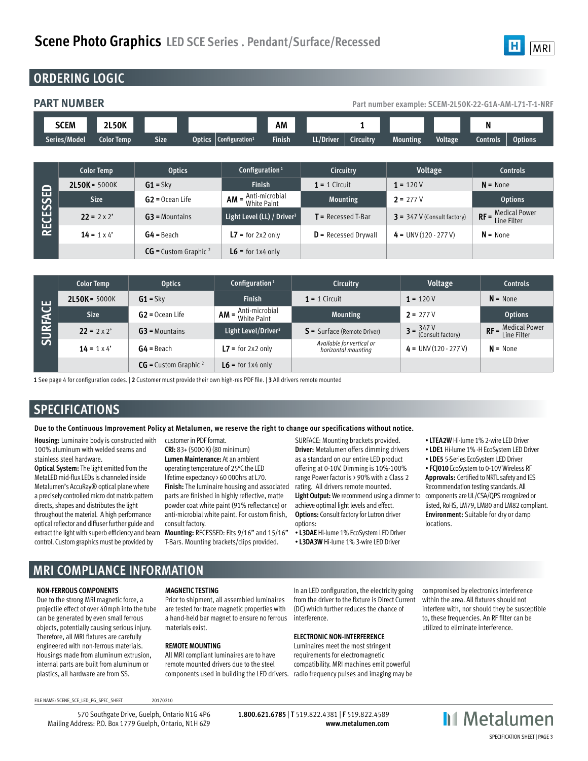

### **ORDERING LOGIC**

### **PART NUMBER PART NUMBER PART NUMBER PART NUMBER PART NUMBER PART NUMBER PART NUMBER PART NUMBER PART NUMBER**

| - - -- - - - - - - - - - - - - |                   |             |               |                                   |        |           |                       |          | ------------   | ----------- | ---<br>--------- |
|--------------------------------|-------------------|-------------|---------------|-----------------------------------|--------|-----------|-----------------------|----------|----------------|-------------|------------------|
|                                |                   |             |               |                                   |        |           |                       |          |                |             |                  |
| <b>SCEM</b>                    | <b>2L50K</b>      |             |               |                                   | ΑМ     |           |                       |          |                | N           |                  |
| Series/Model                   | <b>Color Temp</b> | <b>Size</b> | <b>Optics</b> | $\sim$ Configuration <sup>1</sup> | Finish | LL/Driver | –<br><b>Circuitry</b> | Mounting | <b>Voltage</b> | Controls    | <b>Options</b>   |

| $\Box$<br>ш<br><b>RECESSE</b> | <b>Color Temp</b>  | <b>Optics</b>             | Configuration <sup>1</sup>             | <b>Circuitry</b>          | Voltage                       | <b>Controls</b>                     |
|-------------------------------|--------------------|---------------------------|----------------------------------------|---------------------------|-------------------------------|-------------------------------------|
|                               | $2L50K = 5000K$    | $G1 = Skv$                | <b>Finish</b>                          | $1 = 1$ Circuit           | $1 = 120V$                    | $N = None$                          |
|                               | <b>Size</b>        | $G2 = Ocean Life$         | $AM =$ Anti-microbial<br>White Paint   | <b>Mounting</b>           | $2 = 277V$                    | <b>Options</b>                      |
|                               | $22 = 2 \times 2'$ | $G3$ = Mountains          | Light Level (LL) / Driver <sup>3</sup> | $\Gamma$ = Recessed T-Bar | $3 = 347$ V (Consult factory) | $RF =$ Medical Power<br>Line Filter |
|                               | $14 = 1 \times 4'$ | $G4 =$ Beach              | $L7 =$ for 2x2 only                    | $D$ = Recessed Drywall    | $4 = UNV(120 - 277 V)$        | $N = None$                          |
|                               |                    | $CG =$ Custom Graphic $2$ | $L6 =$ for 1x4 only                    |                           |                               |                                     |

| <b>LLI</b><br>$\overline{\mathbf{C}}$<br><b>SURFAC</b> | <b>Color Temp</b>  | <b>Optics</b>              | Configuration <sup>1</sup>                              | <b>Circuitry</b>                                 | Voltage                                              | <b>Controls</b>      |
|--------------------------------------------------------|--------------------|----------------------------|---------------------------------------------------------|--------------------------------------------------|------------------------------------------------------|----------------------|
|                                                        | $2L50K = 5000K$    | $G1 = Skv$                 | <b>Finish</b>                                           | $1 = 1$ Circuit                                  | $1 = 120V$                                           | $N = None$           |
|                                                        | <b>Size</b>        | $G2 = Ocean Life$          | $AM = \frac{Anti\text{-}microbial}{White\text{-}Paint}$ | <b>Mounting</b>                                  | $2 = 277V$                                           | <b>Options</b>       |
|                                                        | $22 = 2 \times 2'$ | $G3$ = Mountains           | Light Level/Driver <sup>3</sup>                         | $S =$ Surface (Remote Driver)                    | $3 = \frac{347 \text{ V}}{(\text{Consult factory})}$ | $RF =$ Medical Power |
|                                                        | $14 = 1 \times 4'$ | $G4 =$ Beach               | $L7 =$ for 2x2 only                                     | Available for vertical or<br>horizontal mounting | $4 = UNV(120 - 277 V)$                               | $N = None$           |
|                                                        |                    | $CG =$ Custom Graphic $^2$ | $L6$ = for 1x4 only                                     |                                                  |                                                      |                      |

**1** See page 4 for configuration codes. | **2** Customer must provide their own high-res PDF file. | **3** All drivers remote mounted

### **SPECIFICATIONS**

### **Due to the Continuous Improvement Policy at Metalumen, we reserve the right to change our specifications without notice.**

**Housing:** Luminaire body is constructed with 100% aluminum with welded seams and stainless steel hardware.

**Optical System:** The light emitted from the MetaLED mid-flux LEDs is channeled inside Metalumen's AccuRay® optical plane where a precisely controlled micro dot matrix pattern directs, shapes and distributes the light throughout the material. A high performance optical reflector and diffuser further guide and extract the light with superb efficiency and beam control. Custom graphics must be provided by

customer in PDF format. **CRI:** 83+ (5000 K) (80 minimum) **Lumen Maintenance:** At an ambient operating temperature of 25°C the LED lifetime expectancy > 60 000hrs at L70. **Finish:** The luminaire housing and associated parts are finished in highly reflective, matte powder coat white paint (91% reflectance) or anti-microbial white paint. For custom finish, consult factory.

**Mounting:** RECESSED: Fits 9/16" and 15/16" T-Bars. Mounting brackets/clips provided.

SURFACE: Mounting brackets provided. **Driver:** Metalumen offers dimming drivers as a standard on our entire LED product offering at 0-10V. Dimming is 10%-100% range Power factor is > 90% with a Class 2 rating. All drivers remote mounted. **Light Output:** We recommend using a dimmer to achieve optimal light levels and effect. **Options:** Consult factory for Lutron driver options:

• **L3DAE** Hi-lume 1% EcoSystem LED Driver • **L3DA3W** Hi-lume 1% 3-wire LED Driver

- **LTEA2W** Hi-lume 1% 2-wire LED Driver
- **LDE1** Hi-lume 1% -H EcoSystem LED Driver
- **LDE5** 5-Series EcoSystem LED Driver

• **FCJ010** EcoSystem to 0-10V Wireless RF **Approvals:** Certified to NRTL safety and IES Recommendation testing standards. All components are UL/CSA/QPS recognized or listed, RoHS, LM79, LM80 and LM82 compliant. **Environment:** Suitable for dry or damp locations.

### **MRI COMPLIANCE INFORMATION**

#### **NON-FERROUS COMPONENTS**

Due to the strong MRI magnetic force, a projectile effect of over 40mph into the tube can be generated by even small ferrous objects, potentially causing serious injury. Therefore, all MRI fixtures are carefully engineered with non-ferrous materials. Housings made from aluminum extrusion, internal parts are built from aluminum or plastics, all hardware are from SS.

#### **MAGNETIC TESTING**

Prior to shipment, all assembled luminaires are tested for trace magnetic properties with a hand-held bar magnet to ensure no ferrous materials exist.

#### **REMOTE MOUNTING**

All MRI compliant luminaires are to have remote mounted drivers due to the steel components used in building the LED drivers. radio frequency pulses and imaging may be

In an LED configuration, the electricity going from the driver to the fixture is Direct Current (DC) which further reduces the chance of interference.

#### **ELECTRONIC NON-INTERFERENCE**

Luminaires meet the most stringent requirements for electromagnetic compatibility. MRI machines emit powerful compromised by electronics interference within the area. All fixtures should not interfere with, nor should they be susceptible to, these frequencies. An RF filter can be utilized to eliminate interference.

FILE NAME: SCENE\_SCE\_LED\_PG\_SPEC\_SHEET 20170210

570 Southgate Drive, Guelph, Ontario N1G 4P6 Mailing Address: P.O. Box 1779 Guelph, Ontario, N1H 6Z9

**1.800.621.6785** | **T** 519.822.4381 | **F** 519.822.4589 **www.metalumen.com** **II** Metalumen SPECIFICATION SHEET | PAGE 3